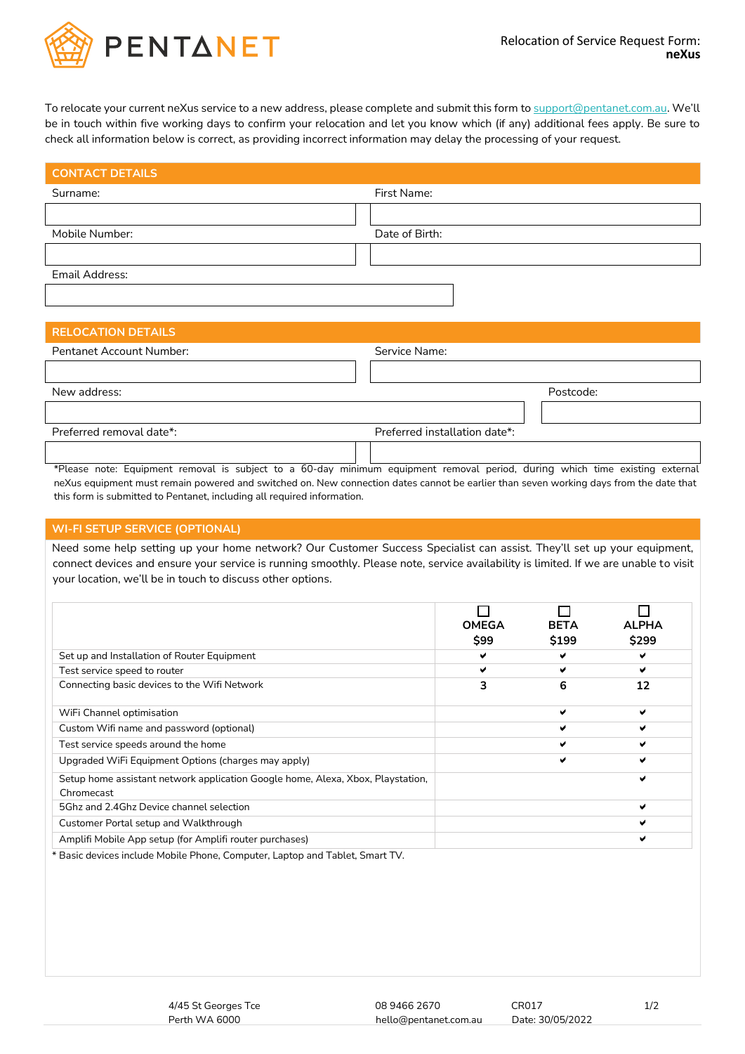

To relocate your current neXus service to a new address, please complete and submit this form t[o support@pentanet.com.au.](mailto:support@pentanet.com.au) We'll be in touch within five working days to confirm your relocation and let you know which (if any) additional fees apply. Be sure to check all information below is correct, as providing incorrect information may delay the processing of your request.

| First Name:    |
|----------------|
|                |
| Date of Birth: |
|                |
|                |
|                |
|                |
|                |

## **RELOCATION DETAILS**

| Pentanet Account Number: | Service Name:                  |
|--------------------------|--------------------------------|
|                          |                                |
| New address:             | Postcode:                      |
|                          |                                |
| Preferred removal date*: | Preferred installation date*:  |
| $\cdots$<br>$ -$         | .<br>.<br>. .<br>$\sim$ $\sim$ |

\*Please note: Equipment removal is subject to a 60-day minimum equipment removal period, during which time existing external neXus equipment must remain powered and switched on. New connection dates cannot be earlier than seven working days from the date that this form is submitted to Pentanet, including all required information.

## **WI-FI SETUP SERVICE (OPTIONAL)**

Need some help setting up your home network? Our Customer Success Specialist can assist. They'll set up your equipment, connect devices and ensure your service is running smoothly. Please note, service availability is limited. If we are unable to visit your location, we'll be in touch to discuss other options.

|                                                                                               | <b>OMEGA</b><br>\$99 | <b>BETA</b><br>\$199 | <b>ALPHA</b><br>\$299 |
|-----------------------------------------------------------------------------------------------|----------------------|----------------------|-----------------------|
| Set up and Installation of Router Equipment                                                   | ✔                    | ✔                    | v                     |
| Test service speed to router                                                                  | v                    | ✔                    | ✔                     |
| Connecting basic devices to the Wifi Network                                                  | 3                    | 6                    | 12                    |
| WiFi Channel optimisation                                                                     |                      | W                    | м                     |
| Custom Wifi name and password (optional)                                                      |                      | v                    | ✔                     |
| Test service speeds around the home                                                           |                      | ✔                    | v                     |
| Upgraded WiFi Equipment Options (charges may apply)                                           |                      | v                    | м                     |
| Setup home assistant network application Google home, Alexa, Xbox, Playstation,<br>Chromecast |                      |                      | ✔                     |
| 5Ghz and 2.4Ghz Device channel selection                                                      |                      |                      | v                     |
| Customer Portal setup and Walkthrough                                                         |                      |                      | w                     |
| Amplifi Mobile App setup (for Amplifi router purchases)                                       |                      |                      | ✔                     |

\* Basic devices include Mobile Phone, Computer, Laptop and Tablet, Smart TV.